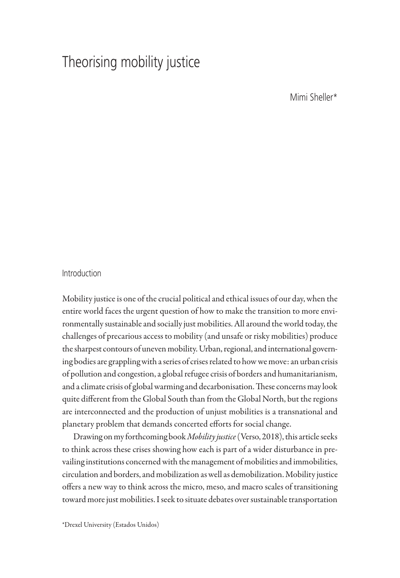# Theorising mobility justice

Mimi Sheller\*

## Introduction

Mobility justice is one of the crucial political and ethical issues of our day, when the entire world faces the urgent question of how to make the transition to more environmentally sustainable and socially just mobilities. All around the world today, the challenges of precarious access to mobility (and unsafe or risky mobilities) produce the sharpest contours of uneven mobility. Urban, regional, and international governing bodies are grappling with a series of crises related to how we move: an urban crisis of pollution and congestion, a global refugee crisis of borders and humanitarianism, and a climate crisis of global warming and decarbonisation. These concerns may look quite different from the Global South than from the Global North, but the regions are interconnected and the production of unjust mobilities is a transnational and planetary problem that demands concerted efforts for social change.

Drawing on my forthcoming book *Mobility justice* (Verso, 2018), this article seeks to think across these crises showing how each is part of a wider disturbance in prevailing institutions concerned with the management of mobilities and immobilities, circulation and borders, and mobilization as well as demobilization. Mobility justice offers a new way to think across the micro, meso, and macro scales of transitioning toward more just mobilities. I seek to situate debates over sustainable transportation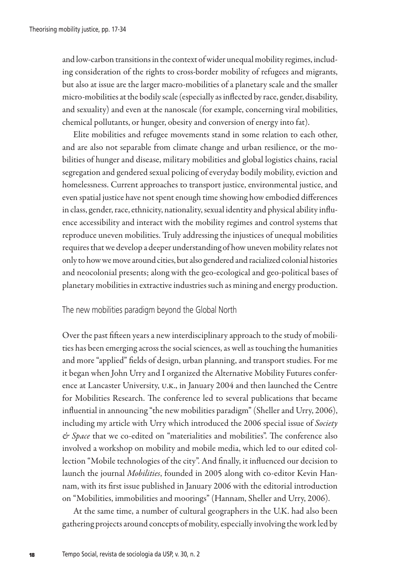and low-carbon transitions in the context of wider unequal mobility regimes, including consideration of the rights to cross-border mobility of refugees and migrants, but also at issue are the larger macro-mobilities of a planetary scale and the smaller micro-mobilities at the bodily scale (especially as inflected by race, gender, disability, and sexuality) and even at the nanoscale (for example, concerning viral mobilities, chemical pollutants, or hunger, obesity and conversion of energy into fat).

Elite mobilities and refugee movements stand in some relation to each other, and are also not separable from climate change and urban resilience, or the mobilities of hunger and disease, military mobilities and global logistics chains, racial segregation and gendered sexual policing of everyday bodily mobility, eviction and homelessness. Current approaches to transport justice, environmental justice, and even spatial justice have not spent enough time showing how embodied differences in class, gender, race, ethnicity, nationality, sexual identity and physical ability influence accessibility and interact with the mobility regimes and control systems that reproduce uneven mobilities. Truly addressing the injustices of unequal mobilities requires that we develop a deeper understanding of how uneven mobility relates not only to how we move around cities, but also gendered and racialized colonial histories and neocolonial presents; along with the geo-ecological and geo-political bases of planetary mobilities in extractive industries such as mining and energy production.

The new mobilities paradigm beyond the Global North

Over the past fifteen years a new interdisciplinary approach to the study of mobilities has been emerging across the social sciences, as well as touching the humanities and more "applied" fields of design, urban planning, and transport studies. For me it began when John Urry and I organized the Alternative Mobility Futures conference at Lancaster University, u.k., in January 2004 and then launched the Centre for Mobilities Research. The conference led to several publications that became influential in announcing "the new mobilities paradigm" (Sheller and Urry, 2006), including my article with Urry which introduced the 2006 special issue of *Society & Space* that we co-edited on "materialities and mobilities". The conference also involved a workshop on mobility and mobile media, which led to our edited collection "Mobile technologies of the city". And finally, it influenced our decision to launch the journal *Mobilities*, founded in 2005 along with co-editor Kevin Hannam, with its first issue published in January 2006 with the editorial introduction on "Mobilities, immobilities and moorings" (Hannam, Sheller and Urry, 2006).

At the same time, a number of cultural geographers in the U.K. had also been gathering projects around concepts of mobility, especially involving the work led by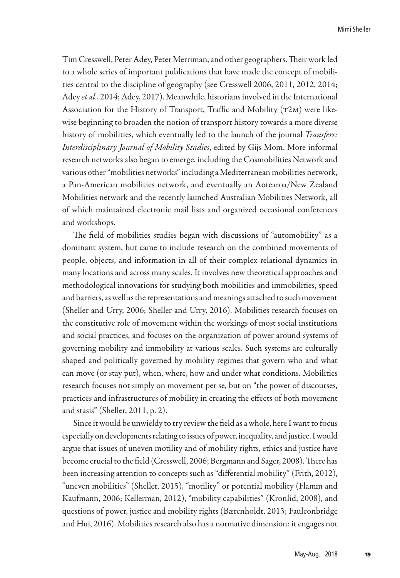Tim Cresswell, Peter Adey, Peter Merriman, and other geographers. Their work led to a whole series of important publications that have made the concept of mobilities central to the discipline of geography (see Cresswell 2006, 2011, 2012, 2014; Adey *et al*., 2014; Adey, 2017). Meanwhile, historians involved in the International Association for the History of Transport, Traffic and Mobility  $(T2M)$  were likewise beginning to broaden the notion of transport history towards a more diverse history of mobilities, which eventually led to the launch of the journal *Transfers: Interdisciplinary Journal of Mobility Studies*, edited by Gijs Mom. More informal research networks also began to emerge, including the Cosmobilities Network and various other "mobilities networks" including a Mediterranean mobilities network, a Pan-American mobilities network, and eventually an Aotearoa/New Zealand Mobilities network and the recently launched Australian Mobilities Network, all of which maintained electronic mail lists and organized occasional conferences and workshops.

The field of mobilities studies began with discussions of "automobility" as a dominant system, but came to include research on the combined movements of people, objects, and information in all of their complex relational dynamics in many locations and across many scales. It involves new theoretical approaches and methodological innovations for studying both mobilities and immobilities, speed and barriers, as well as the representations and meanings attached to such movement (Sheller and Urry, 2006; Sheller and Urry, 2016). Mobilities research focuses on the constitutive role of movement within the workings of most social institutions and social practices, and focuses on the organization of power around systems of governing mobility and immobility at various scales. Such systems are culturally shaped and politically governed by mobility regimes that govern who and what can move (or stay put), when, where, how and under what conditions. Mobilities research focuses not simply on movement per se, but on "the power of discourses, practices and infrastructures of mobility in creating the effects of both movement and stasis" (Sheller, 2011, p. 2).

Since it would be unwieldy to try review the field as a whole, here I want to focus especially on developments relating to issues of power, inequality, and justice. I would argue that issues of uneven motility and of mobility rights, ethics and justice have become crucial to the field (Cresswell, 2006; Bergmann and Sager, 2008). There has been increasing attention to concepts such as "differential mobility" (Frith, 2012), "uneven mobilities" (Sheller, 2015), "motility" or potential mobility (Flamm and Kaufmann, 2006; Kellerman, 2012), "mobility capabilities" (Kronlid, 2008), and questions of power, justice and mobility rights (Bærenholdt, 2013; Faulconbridge and Hui, 2016). Mobilities research also has a normative dimension: it engages not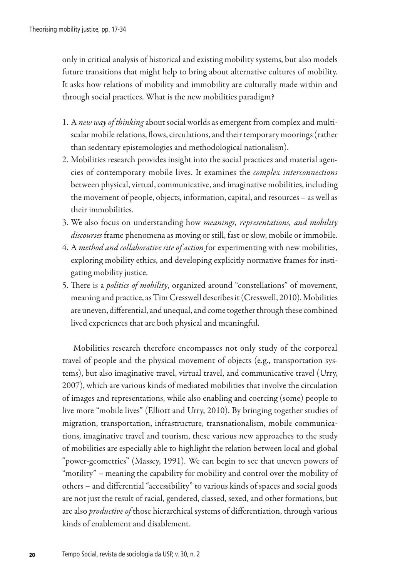only in critical analysis of historical and existing mobility systems, but also models future transitions that might help to bring about alternative cultures of mobility. It asks how relations of mobility and immobility are culturally made within and through social practices. What is the new mobilities paradigm?

- 1. A *new way of thinking* about social worlds as emergent from complex and multiscalar mobile relations, flows, circulations, and their temporary moorings (rather than sedentary epistemologies and methodological nationalism).
- 2. Mobilities research provides insight into the social practices and material agencies of contemporary mobile lives. It examines the *complex interconnections* between physical, virtual, communicative, and imaginative mobilities, including the movement of people, objects, information, capital, and resources – as well as their immobilities.
- 3. We also focus on understanding how *meanings, representations, and mobility discourses* frame phenomena as moving or still, fast or slow, mobile or immobile.
- 4. A *method and collaborative site of action* for experimenting with new mobilities, exploring mobility ethics, and developing explicitly normative frames for instigating mobility justice.
- 5. There is a *politics of mobility*, organized around "constellations" of movement, meaning and practice, as Tim Cresswell describes it (Cresswell, 2010). Mobilities are uneven, differential, and unequal, and come together through these combined lived experiences that are both physical and meaningful.

Mobilities research therefore encompasses not only study of the corporeal travel of people and the physical movement of objects (e.g., transportation systems), but also imaginative travel, virtual travel, and communicative travel (Urry, 2007), which are various kinds of mediated mobilities that involve the circulation of images and representations, while also enabling and coercing (some) people to live more "mobile lives" (Elliott and Urry, 2010). By bringing together studies of migration, transportation, infrastructure, transnationalism, mobile communications, imaginative travel and tourism, these various new approaches to the study of mobilities are especially able to highlight the relation between local and global "power-geometries" (Massey, 1991). We can begin to see that uneven powers of "motility" – meaning the capability for mobility and control over the mobility of others – and differential "accessibility" to various kinds of spaces and social goods are not just the result of racial, gendered, classed, sexed, and other formations, but are also *productive of* those hierarchical systems of differentiation, through various kinds of enablement and disablement.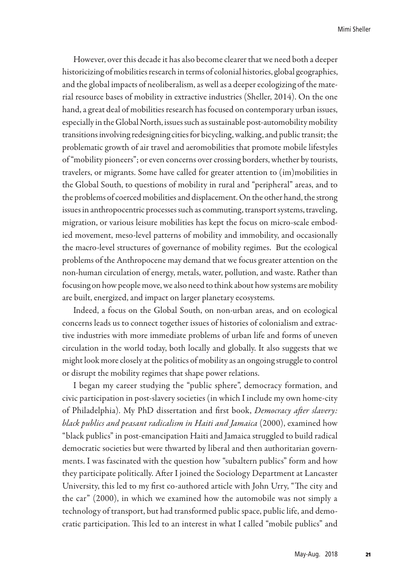However, over this decade it has also become clearer that we need both a deeper historicizing of mobilities research in terms of colonial histories, global geographies, and the global impacts of neoliberalism, as well as a deeper ecologizing of the material resource bases of mobility in extractive industries (Sheller, 2014). On the one hand, a great deal of mobilities research has focused on contemporary urban issues, especially in the Global North, issues such as sustainable post-automobility mobility transitions involving redesigning cities for bicycling, walking, and public transit; the problematic growth of air travel and aeromobilities that promote mobile lifestyles of "mobility pioneers"; or even concerns over crossing borders, whether by tourists, travelers, or migrants. Some have called for greater attention to (im)mobilities in the Global South, to questions of mobility in rural and "peripheral" areas, and to the problems of coerced mobilities and displacement. On the other hand, the strong issues in anthropocentric processes such as commuting, transport systems, traveling, migration, or various leisure mobilities has kept the focus on micro-scale embodied movement, meso-level patterns of mobility and immobility, and occasionally the macro-level structures of governance of mobility regimes. But the ecological problems of the Anthropocene may demand that we focus greater attention on the non-human circulation of energy, metals, water, pollution, and waste. Rather than focusing on how people move, we also need to think about how systems are mobility are built, energized, and impact on larger planetary ecosystems.

Indeed, a focus on the Global South, on non-urban areas, and on ecological concerns leads us to connect together issues of histories of colonialism and extractive industries with more immediate problems of urban life and forms of uneven circulation in the world today, both locally and globally. It also suggests that we might look more closely at the politics of mobility as an ongoing struggle to control or disrupt the mobility regimes that shape power relations.

I began my career studying the "public sphere", democracy formation, and civic participation in post-slavery societies (in which I include my own home-city of Philadelphia). My PhD dissertation and first book, *Democracy after slavery: black publics and peasant radicalism in Haiti and Jamaica* (2000), examined how "black publics" in post-emancipation Haiti and Jamaica struggled to build radical democratic societies but were thwarted by liberal and then authoritarian governments. I was fascinated with the question how "subaltern publics" form and how they participate politically. After I joined the Sociology Department at Lancaster University, this led to my first co-authored article with John Urry, "The city and the car" (2000), in which we examined how the automobile was not simply a technology of transport, but had transformed public space, public life, and democratic participation. This led to an interest in what I called "mobile publics" and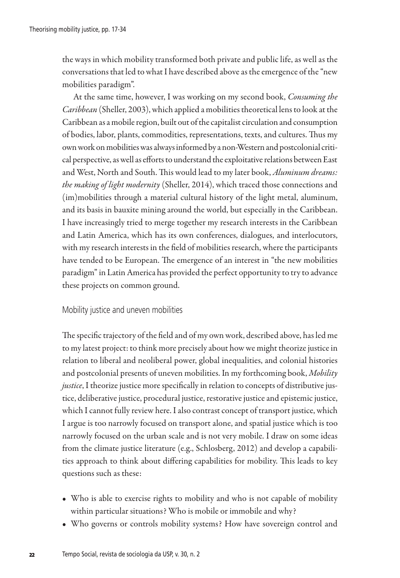the ways in which mobility transformed both private and public life, as well as the conversations that led to what I have described above as the emergence of the "new mobilities paradigm".

At the same time, however, I was working on my second book, *Consuming the Caribbean* (Sheller, 2003), which applied a mobilities theoretical lens to look at the Caribbean as a mobile region, built out of the capitalist circulation and consumption of bodies, labor, plants, commodities, representations, texts, and cultures. Thus my own work on mobilities was always informed by a non-Western and postcolonial critical perspective, as well as efforts to understand the exploitative relations between East and West, North and South. This would lead to my later book, *Aluminum dreams: the making of light modernity* (Sheller, 2014), which traced those connections and (im)mobilities through a material cultural history of the light metal, aluminum, and its basis in bauxite mining around the world, but especially in the Caribbean. I have increasingly tried to merge together my research interests in the Caribbean and Latin America, which has its own conferences, dialogues, and interlocutors, with my research interests in the field of mobilities research, where the participants have tended to be European. The emergence of an interest in "the new mobilities paradigm" in Latin America has provided the perfect opportunity to try to advance these projects on common ground.

Mobility justice and uneven mobilities

The specific trajectory of the field and of my own work, described above, has led me to my latest project: to think more precisely about how we might theorize justice in relation to liberal and neoliberal power, global inequalities, and colonial histories and postcolonial presents of uneven mobilities. In my forthcoming book, *Mobility justice*, I theorize justice more specifically in relation to concepts of distributive justice, deliberative justice, procedural justice, restorative justice and epistemic justice, which I cannot fully review here. I also contrast concept of transport justice, which I argue is too narrowly focused on transport alone, and spatial justice which is too narrowly focused on the urban scale and is not very mobile. I draw on some ideas from the climate justice literature (e.g., Schlosberg, 2012) and develop a capabilities approach to think about differing capabilities for mobility. This leads to key questions such as these:

- Who is able to exercise rights to mobility and who is not capable of mobility within particular situations? Who is mobile or immobile and why?
- Who governs or controls mobility systems? How have sovereign control and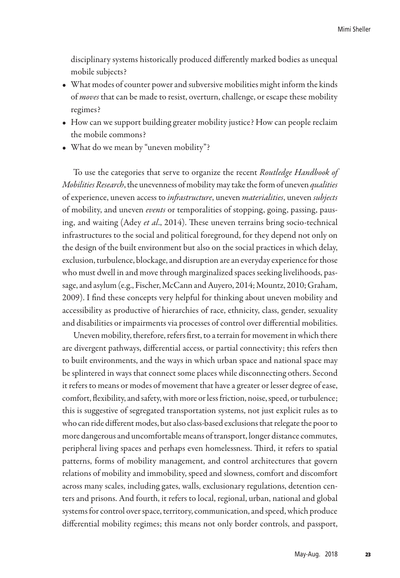disciplinary systems historically produced differently marked bodies as unequal mobile subjects?

- What modes of counter power and subversive mobilities might inform the kinds of *moves* that can be made to resist, overturn, challenge, or escape these mobility regimes?
- How can we support building greater mobility justice? How can people reclaim the mobile commons?
- What do we mean by "uneven mobility"?

To use the categories that serve to organize the recent *Routledge Handbook of Mobilities Research*, the unevenness of mobility may take the form of uneven *qualities*  of experience, uneven access to *infrastructure*, uneven *materialities*, uneven *subjects* of mobility, and uneven *events* or temporalities of stopping, going, passing, pausing, and waiting (Adey *et al*., 2014). These uneven terrains bring socio-technical infrastructures to the social and political foreground, for they depend not only on the design of the built environment but also on the social practices in which delay, exclusion, turbulence, blockage, and disruption are an everyday experience for those who must dwell in and move through marginalized spaces seeking livelihoods, passage, and asylum (e.g., Fischer, McCann and Auyero, 2014; Mountz, 2010; Graham, 2009). I find these concepts very helpful for thinking about uneven mobility and accessibility as productive of hierarchies of race, ethnicity, class, gender, sexuality and disabilities or impairments via processes of control over differential mobilities.

Uneven mobility, therefore, refers first, to a terrain for movement in which there are divergent pathways, differential access, or partial connectivity; this refers then to built environments, and the ways in which urban space and national space may be splintered in ways that connect some places while disconnecting others. Second it refers to means or modes of movement that have a greater or lesser degree of ease, comfort, flexibility, and safety, with more or less friction, noise, speed, or turbulence; this is suggestive of segregated transportation systems, not just explicit rules as to who can ride different modes, but also class-based exclusions that relegate the poor to more dangerous and uncomfortable means of transport, longer distance commutes, peripheral living spaces and perhaps even homelessness. Third, it refers to spatial patterns, forms of mobility management, and control architectures that govern relations of mobility and immobility, speed and slowness, comfort and discomfort across many scales, including gates, walls, exclusionary regulations, detention centers and prisons. And fourth, it refers to local, regional, urban, national and global systems for control over space, territory, communication, and speed, which produce differential mobility regimes; this means not only border controls, and passport,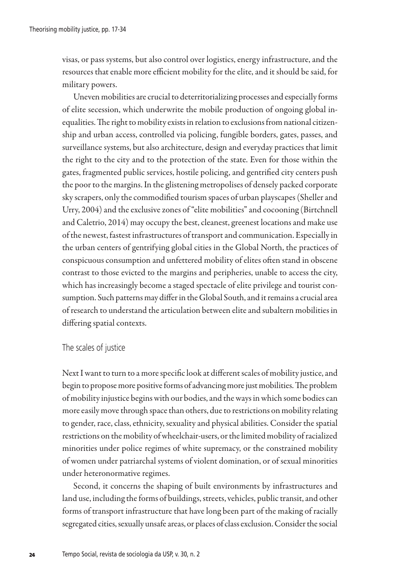visas, or pass systems, but also control over logistics, energy infrastructure, and the resources that enable more efficient mobility for the elite, and it should be said, for military powers.

Uneven mobilities are crucial to deterritorializing processes and especially forms of elite secession, which underwrite the mobile production of ongoing global inequalities. The right to mobility exists in relation to exclusions from national citizenship and urban access, controlled via policing, fungible borders, gates, passes, and surveillance systems, but also architecture, design and everyday practices that limit the right to the city and to the protection of the state. Even for those within the gates, fragmented public services, hostile policing, and gentrified city centers push the poor to the margins. In the glistening metropolises of densely packed corporate sky scrapers, only the commodified tourism spaces of urban playscapes (Sheller and Urry, 2004) and the exclusive zones of "elite mobilities" and cocooning (Birtchnell and Caletrio, 2014) may occupy the best, cleanest, greenest locations and make use of the newest, fastest infrastructures of transport and communication. Especially in the urban centers of gentrifying global cities in the Global North, the practices of conspicuous consumption and unfettered mobility of elites often stand in obscene contrast to those evicted to the margins and peripheries, unable to access the city, which has increasingly become a staged spectacle of elite privilege and tourist consumption. Such patterns may differ in the Global South, and it remains a crucial area of research to understand the articulation between elite and subaltern mobilities in differing spatial contexts.

## The scales of justice

Next I want to turn to a more specific look at different scales of mobility justice, and begin to propose more positive forms of advancing more just mobilities. The problem of mobility injustice begins with our bodies, and the ways in which some bodies can more easily move through space than others, due to restrictions on mobility relating to gender, race, class, ethnicity, sexuality and physical abilities. Consider the spatial restrictions on the mobility of wheelchair-users, or the limited mobility of racialized minorities under police regimes of white supremacy, or the constrained mobility of women under patriarchal systems of violent domination, or of sexual minorities under heteronormative regimes.

Second, it concerns the shaping of built environments by infrastructures and land use, including the forms of buildings, streets, vehicles, public transit, and other forms of transport infrastructure that have long been part of the making of racially segregated cities, sexually unsafe areas, or places of class exclusion. Consider the social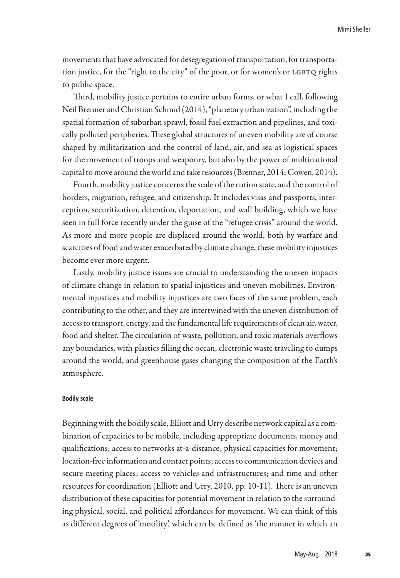movements that have advocated for desegregation of transportation, for transportation justice, for the "right to the city" of the poor, or for women's or LGBTQ rights to public space.

Third, mobility justice pertains to entire urban forms, or what I call, following Neil Brenner and Christian Schmid (2014), "planetary urbanization", including the spatial formation of suburban sprawl, fossil fuel extraction and pipelines, and toxically polluted peripheries. These global structures of uneven mobility are of course shaped by militarization and the control of land, air, and sea as logistical spaces for the movement of troops and weaponry, but also by the power of multinational capital to move around the world and take resources (Brenner, 2014; Cowen, 2014).

Fourth, mobility justice concerns the scale of the nation state, and the control of borders, migration, refugee, and citizenship. It includes visas and passports, interception, securitization, detention, deportation, and wall building, which we have seen in full force recently under the guise of the "refugee crisis" around the world. As more and more people are displaced around the world, both by warfare and scarcities of food and water exacerbated by climate change, these mobility injustices become ever more urgent.

Lastly, mobility justice issues are crucial to understanding the uneven impacts of climate change in relation to spatial injustices and uneven mobilities. Environmental injustices and mobility injustices are two faces of the same problem, each contributing to the other, and they are intertwined with the uneven distribution of access to transport, energy, and the fundamental life requirements of clean air, water, food and shelter. The circulation of waste, pollution, and toxic materials overflows any boundaries, with plastics filling the ocean, electronic waste traveling to dumps around the world, and greenhouse gases changing the composition of the Earth's atmosphere.

#### **Bodily scale**

Beginning with the bodily scale, Elliott and Urry describe network capital as a combination of capacities to be mobile, including appropriate documents, money and qualifications; access to networks at-a-distance; physical capacities for movement; location-free information and contact points; access to communication devices and secure meeting places; access to vehicles and infrastructures; and time and other resources for coordination (Elliott and Urry, 2010, pp. 10-11). There is an uneven distribution of these capacities for potential movement in relation to the surrounding physical, social, and political affordances for movement. We can think of this as different degrees of 'motility', which can be defined as 'the manner in which an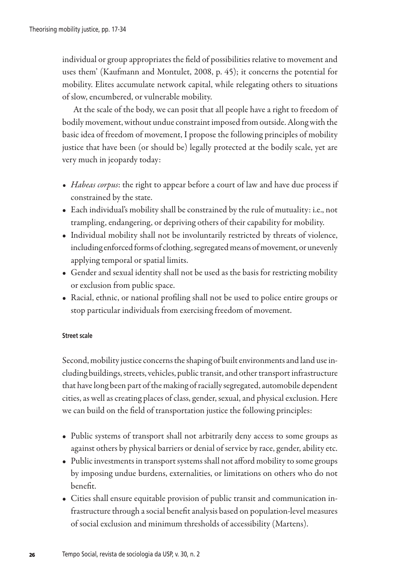individual or group appropriates the field of possibilities relative to movement and uses them' (Kaufmann and Montulet, 2008, p. 45); it concerns the potential for mobility. Elites accumulate network capital, while relegating others to situations of slow, encumbered, or vulnerable mobility.

At the scale of the body, we can posit that all people have a right to freedom of bodily movement, without undue constraint imposed from outside. Along with the basic idea of freedom of movement, I propose the following principles of mobility justice that have been (or should be) legally protected at the bodily scale, yet are very much in jeopardy today:

- *Habeas corpus*: the right to appear before a court of law and have due process if constrained by the state.
- Each individual's mobility shall be constrained by the rule of mutuality: i.e., not trampling, endangering, or depriving others of their capability for mobility.
- Individual mobility shall not be involuntarily restricted by threats of violence, including enforced forms of clothing, segregated means of movement, or unevenly applying temporal or spatial limits.
- • Gender and sexual identity shall not be used as the basis for restricting mobility or exclusion from public space.
- Racial, ethnic, or national profiling shall not be used to police entire groups or stop particular individuals from exercising freedom of movement.

## **Street scale**

Second, mobility justice concerns the shaping of built environments and land use including buildings, streets, vehicles, public transit, and other transport infrastructure that have long been part of the making of racially segregated, automobile dependent cities, as well as creating places of class, gender, sexual, and physical exclusion. Here we can build on the field of transportation justice the following principles:

- Public systems of transport shall not arbitrarily deny access to some groups as against others by physical barriers or denial of service by race, gender, ability etc.
- Public investments in transport systems shall not afford mobility to some groups by imposing undue burdens, externalities, or limitations on others who do not benefit.
- • Cities shall ensure equitable provision of public transit and communication infrastructure through a social benefit analysis based on population-level measures of social exclusion and minimum thresholds of accessibility (Martens).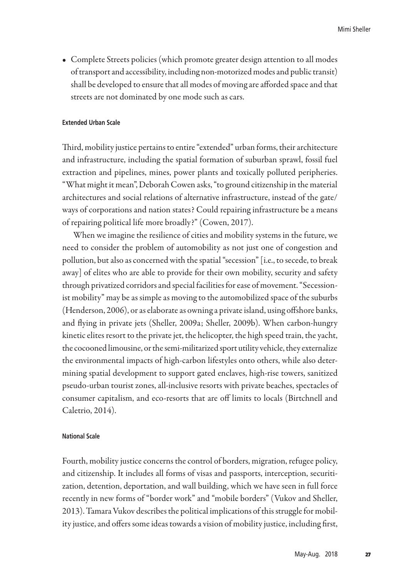• Complete Streets policies (which promote greater design attention to all modes of transport and accessibility, including non-motorized modes and public transit) shall be developed to ensure that all modes of moving are afforded space and that streets are not dominated by one mode such as cars.

### **Extended Urban Scale**

Third, mobility justice pertains to entire "extended" urban forms, their architecture and infrastructure, including the spatial formation of suburban sprawl, fossil fuel extraction and pipelines, mines, power plants and toxically polluted peripheries. "What might it mean", Deborah Cowen asks, "to ground citizenship in the material architectures and social relations of alternative infrastructure, instead of the gate/ ways of corporations and nation states? Could repairing infrastructure be a means of repairing political life more broadly?" (Cowen, 2017).

When we imagine the resilience of cities and mobility systems in the future, we need to consider the problem of automobility as not just one of congestion and pollution, but also as concerned with the spatial "secession" [i.e., to secede, to break away] of elites who are able to provide for their own mobility, security and safety through privatized corridors and special facilities for ease of movement. "Secessionist mobility" may be as simple as moving to the automobilized space of the suburbs (Henderson, 2006), or as elaborate as owning a private island, using offshore banks, and flying in private jets (Sheller, 2009a; Sheller, 2009b). When carbon-hungry kinetic elites resort to the private jet, the helicopter, the high speed train, the yacht, the cocooned limousine, or the semi-militarized sport utility vehicle, they externalize the environmental impacts of high-carbon lifestyles onto others, while also determining spatial development to support gated enclaves, high-rise towers, sanitized pseudo-urban tourist zones, all-inclusive resorts with private beaches, spectacles of consumer capitalism, and eco-resorts that are off limits to locals (Birtchnell and Caletrio, 2014).

### **National Scale**

Fourth, mobility justice concerns the control of borders, migration, refugee policy, and citizenship. It includes all forms of visas and passports, interception, securitization, detention, deportation, and wall building, which we have seen in full force recently in new forms of "border work" and "mobile borders" (Vukov and Sheller, 2013). Tamara Vukov describes the political implications of this struggle for mobility justice, and offers some ideas towards a vision of mobility justice, including first,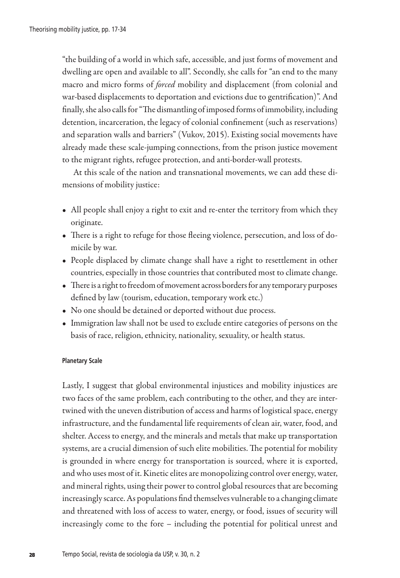"the building of a world in which safe, accessible, and just forms of movement and dwelling are open and available to all". Secondly, she calls for "an end to the many macro and micro forms of *forced* mobility and displacement (from colonial and war-based displacements to deportation and evictions due to gentrification)". And finally, she also calls for "The dismantling of imposed forms of immobility, including detention, incarceration, the legacy of colonial confinement (such as reservations) and separation walls and barriers" (Vukov, 2015). Existing social movements have already made these scale-jumping connections, from the prison justice movement to the migrant rights, refugee protection, and anti-border-wall protests.

At this scale of the nation and transnational movements, we can add these dimensions of mobility justice:

- All people shall enjoy a right to exit and re-enter the territory from which they originate.
- There is a right to refuge for those fleeing violence, persecution, and loss of domicile by war.
- People displaced by climate change shall have a right to resettlement in other countries, especially in those countries that contributed most to climate change.
- There is a right to freedom of movement across borders for any temporary purposes defined by law (tourism, education, temporary work etc.)
- No one should be detained or deported without due process.
- • Immigration law shall not be used to exclude entire categories of persons on the basis of race, religion, ethnicity, nationality, sexuality, or health status.

## **Planetary Scale**

Lastly, I suggest that global environmental injustices and mobility injustices are two faces of the same problem, each contributing to the other, and they are intertwined with the uneven distribution of access and harms of logistical space, energy infrastructure, and the fundamental life requirements of clean air, water, food, and shelter. Access to energy, and the minerals and metals that make up transportation systems, are a crucial dimension of such elite mobilities. The potential for mobility is grounded in where energy for transportation is sourced, where it is exported, and who uses most of it. Kinetic elites are monopolizing control over energy, water, and mineral rights, using their power to control global resources that are becoming increasingly scarce. As populations find themselves vulnerable to a changing climate and threatened with loss of access to water, energy, or food, issues of security will increasingly come to the fore – including the potential for political unrest and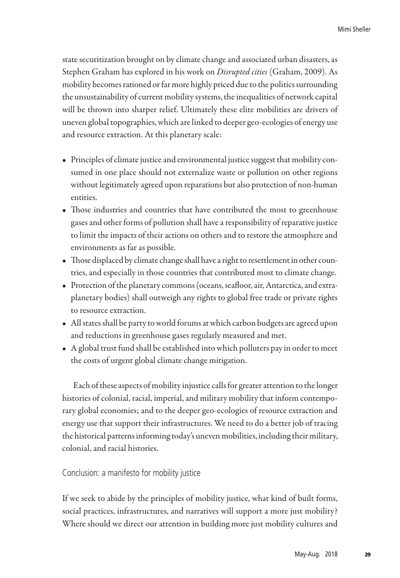state securitization brought on by climate change and associated urban disasters, as Stephen Graham has explored in his work on *Disrupted cities* (Graham, 2009). As mobility becomes rationed or far more highly priced due to the politics surrounding the unsustainability of current mobility systems, the inequalities of network capital will be thrown into sharper relief. Ultimately these elite mobilities are drivers of uneven global topographies, which are linked to deeper geo-ecologies of energy use and resource extraction. At this planetary scale:

- • Principles of climate justice and environmental justice suggest that mobility consumed in one place should not externalize waste or pollution on other regions without legitimately agreed upon reparations but also protection of non-human entities.
- Those industries and countries that have contributed the most to greenhouse gases and other forms of pollution shall have a responsibility of reparative justice to limit the impacts of their actions on others and to restore the atmosphere and environments as far as possible.
- Those displaced by climate change shall have a right to resettlement in other countries, and especially in those countries that contributed most to climate change.
- Protection of the planetary commons (oceans, seafloor, air, Antarctica, and extraplanetary bodies) shall outweigh any rights to global free trade or private rights to resource extraction.
- • All states shall be party to world forums at which carbon budgets are agreed upon and reductions in greenhouse gases regularly measured and met.
- A global trust fund shall be established into which polluters pay in order to meet the costs of urgent global climate change mitigation.

Each of these aspects of mobility injustice calls for greater attention to the longer histories of colonial, racial, imperial, and military mobility that inform contemporary global economies; and to the deeper geo-ecologies of resource extraction and energy use that support their infrastructures. We need to do a better job of tracing the historical patterns informing today's uneven mobilities, including their military, colonial, and racial histories.

## Conclusion: a manifesto for mobility justice

If we seek to abide by the principles of mobility justice, what kind of built forms, social practices, infrastructures, and narratives will support a more just mobility? Where should we direct our attention in building more just mobility cultures and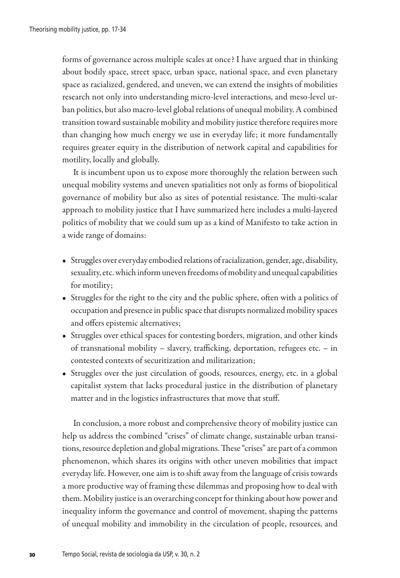forms of governance across multiple scales at once? I have argued that in thinking about bodily space, street space, urban space, national space, and even planetary space as racialized, gendered, and uneven, we can extend the insights of mobilities research not only into understanding micro-level interactions, and meso-level urban politics, but also macro-level global relations of unequal mobility. A combined transition toward sustainable mobility and mobility justice therefore requires more than changing how much energy we use in everyday life; it more fundamentally requires greater equity in the distribution of network capital and capabilities for motility, locally and globally.

It is incumbent upon us to expose more thoroughly the relation between such unequal mobility systems and uneven spatialities not only as forms of biopolitical governance of mobility but also as sites of potential resistance. The multi-scalar approach to mobility justice that I have summarized here includes a multi-layered politics of mobility that we could sum up as a kind of Manifesto to take action in a wide range of domains:

- Struggles over everyday embodied relations of racialization, gender, age, disability, sexuality, etc. which inform uneven freedoms of mobility and unequal capabilities for motility;
- Struggles for the right to the city and the public sphere, often with a politics of occupation and presence in public space that disrupts normalized mobility spaces and offers epistemic alternatives;
- Struggles over ethical spaces for contesting borders, migration, and other kinds of transnational mobility – slavery, trafficking, deportation, refugees etc. – in contested contexts of securitization and militarization;
- Struggles over the just circulation of goods, resources, energy, etc. in a global capitalist system that lacks procedural justice in the distribution of planetary matter and in the logistics infrastructures that move that stuff.

In conclusion, a more robust and comprehensive theory of mobility justice can help us address the combined "crises" of climate change, sustainable urban transitions, resource depletion and global migrations. These "crises" are part of a common phenomenon, which shares its origins with other uneven mobilities that impact everyday life. However, one aim is to shift away from the language of crisis towards a more productive way of framing these dilemmas and proposing how to deal with them. Mobility justice is an overarching concept for thinking about how power and inequality inform the governance and control of movement, shaping the patterns of unequal mobility and immobility in the circulation of people, resources, and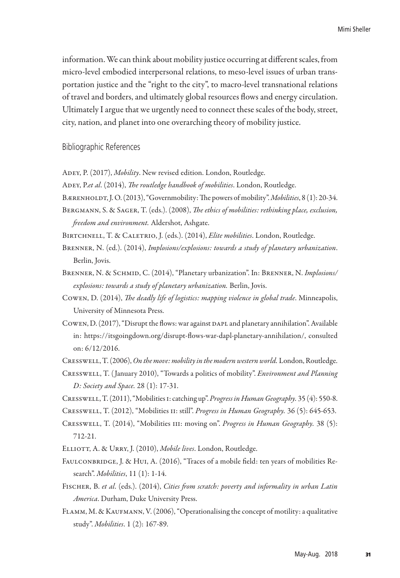information. We can think about mobility justice occurring at different scales, from micro-level embodied interpersonal relations, to meso-level issues of urban transportation justice and the "right to the city", to macro-level transnational relations of travel and borders, and ultimately global resources flows and energy circulation. Ultimately I argue that we urgently need to connect these scales of the body, street, city, nation, and planet into one overarching theory of mobility justice.

Bibliographic References

ADEY, P. (2017), *Mobility*. New revised edition. London, Routledge.

- ADEY, P.et al. (2014), *The routledge handbook of mobilities*. London, Routledge.
- Bærenholdt, J. O. (2013), "Governmobility: The powers of mobility". *Mobilities*, 8 (1): 20-34.
- Bergmann, S. & Sager, T. (eds.). (2008), *The ethics of mobilities: rethinking place, exclusion, freedom and environment.* Aldershot, Ashgate.

BIRTCHNELL, T. & CALETRIO, J. (eds.). (2014), *Elite mobilities*. London, Routledge.

- Brenner, N. (ed.). (2014), *Implosions/explosions: towards a study of planetary urbanization*. Berlin, Jovis.
- BRENNER, N. & SCHMID, C. (2014), "Planetary urbanization". In: BRENNER, N. Implosions/ *explosions: towards a study of planetary urbanization.* Berlin, Jovis.
- Cowen, D. (2014), *The deadly life of logistics: mapping violence in global trade*. Minneapolis, University of Minnesota Press.
- COWEN, D. (2017), "Disrupt the flows: war against DAPL and planetary annihilation". Available in: https://itsgoingdown.org/disrupt-flows-war-dapl-planetary-annihilation/, consulted on: 6/12/2016.
- Cresswell, T. (2006), *On the move: mobility in the modern western world.* London, Routledge.
- Cresswell, T. ( January 2010), "Towards a politics of mobility". *Environment and Planning D: Society and Space.* 28 (1): 17-31.
- Cresswell, T. (2011), "Mobilities i: catching up". *Progress in Human Geography.* 35 (4): 550-8.
- Cresswell, T. (2012), "Mobilities ii: still". *Progress in Human Geography.* 36 (5): 645-653.
- Cresswell, T. (2014), "Mobilities iii: moving on". *Progress in Human Geography.* 38 (5): 712-21.
- Elliott, A. & Urry, J. (2010), *Mobile lives*. London, Routledge.
- FAULCONBRIDGE, J. & HUI, A. (2016), "Traces of a mobile field: ten years of mobilities Research". *Mobilities*, 11 (1): 1-14.
- Fischer, B. *et al*. (eds.). (2014), *Cities from scratch: poverty and informality in urban Latin America*. Durham, Duke University Press.
- FLAMM, M. & KAUFMANN, V. (2006), "Operationalising the concept of motility: a qualitative study". *Mobilities*. 1 (2): 167-89.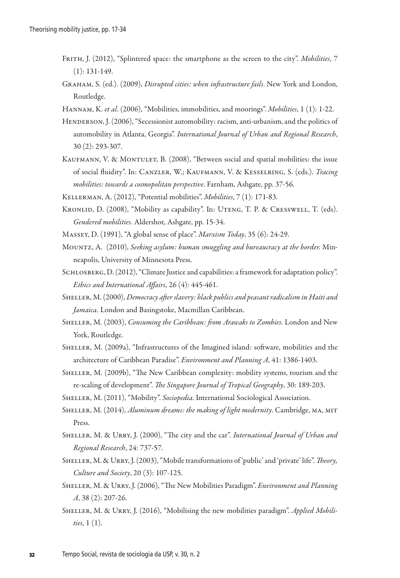- Frith, J. (2012), "Splintered space: the smartphone as the screen to the city". *Mobilities*, 7  $(1): 131-149.$
- Graham, S. (ed.). (2009), *Disrupted cities: when infrastructure fails*. New York and London, Routledge.
- Hannam, K. *et al*. (2006), "Mobilities, immobilities, and moorings". *Mobilities*, 1 (1): 1-22.
- Henderson, J. (2006), "Secessionist automobility: racism, anti-urbanism, and the politics of automobility in Atlanta, Georgia". *International Journal of Urban and Regional Research*, 30 (2): 293-307.
- Kaufmann, V. & Montulet, B. (2008), "Between social and spatial mobilities: the issue of social fluidity". In: Canzler, W.; Kaufmann, V. & Kesselring, S. (eds.). *Tracing mobilities: towards a cosmopolitan perspective*. Farnham, Ashgate, pp. 37-56*.*
- Kellerman, A. (2012), "Potential mobilities". *Mobilities*, 7 (1): 171-83.
- KRONLID, D. (2008), "Mobility as capability". In: UTENG, T. P. & CRESSWELL, T. (eds). *Gendered mobilities*. Aldershot, Ashgate, pp. 15-34.
- Massey, D. (1991), "A global sense of place". *Marxism Today*, 35 (6): 24-29.
- Mountz, A. (2010), *Seeking asylum: human smuggling and bureaucracy at the border.* Minneapolis, University of Minnesota Press.
- SCHLOSBERG, D. (2012), "Climate Justice and capabilities: a framework for adaptation policy". *Ethics and International Affairs*, 26 (4): 445-461.
- Sheller, M. (2000), *Democracy after slavery: black publics and peasant radicalism in Haiti and Jamaica.* London and Basingstoke, Macmillan Caribbean.
- Sheller, M. (2003), *Consuming the Caribbean: from Arawaks to Zombies*. London and New York, Routledge.
- SHELLER, M. (2009a), "Infrastructures of the Imagined island: software, mobilities and the architecture of Caribbean Paradise". *Environment and Planning A*, 41: 1386-1403.
- Sheller, M. (2009b), "The New Caribbean complexity: mobility systems, tourism and the re-scaling of development". *The Singapore Journal of Tropical Geography*, 30: 189-203.
- SHELLER, M. (2011), "Mobility". *Sociopedia*. International Sociological Association.
- SHELLER, M. (2014), *Aluminum dreams: the making of light modernity*. Cambridge, MA, MIT Press.
- Sheller, M. & Urry, J. (2000), "The city and the car". *International Journal of Urban and Regional Research*, 24: 737-57.
- Sheller, M. & Urry, J. (2003), "Mobile transformations of 'public' and 'private' life". *Theory, Culture and Society*, 20 (3): 107-125.
- SHELLER, M. & URRY, J. (2006), "The New Mobilities Paradigm". *Environment and Planning A*, 38 (2): 207-26.
- SHELLER, M. & URRY, J. (2016), "Mobilising the new mobilities paradigm". *Applied Mobilities*, 1 (1).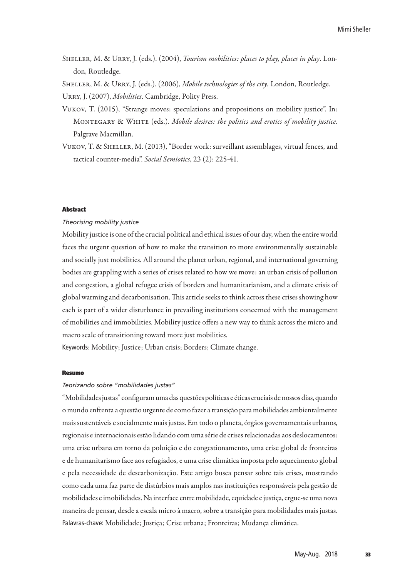Sheller, M. & Urry, J. (eds.). (2004), *Tourism mobilities: places to play, places in play*. London, Routledge.

SHELLER, M. & URRY, J. (eds.). (2006), *Mobile technologies of the city*. London, Routledge.

Urry, J. (2007), *Mobilities*. Cambridge, Polity Press.

- Vukov, T. (2015), "Strange moves: speculations and propositions on mobility justice". In: Montegary & White (eds.)*. Mobile desires: the politics and erotics of mobility justice.* Palgrave Macmillan.
- Vukov, T. & Sheller, M. (2013), "Border work: surveillant assemblages, virtual fences, and tactical counter-media". *Social Semiotics*, 23 (2): 225-41.

#### **Abstract**

#### *Theorising mobility justice*

Mobility justice is one of the crucial political and ethical issues of our day, when the entire world faces the urgent question of how to make the transition to more environmentally sustainable and socially just mobilities. All around the planet urban, regional, and international governing bodies are grappling with a series of crises related to how we move: an urban crisis of pollution and congestion, a global refugee crisis of borders and humanitarianism, and a climate crisis of global warming and decarbonisation. This article seeks to think across these crises showing how each is part of a wider disturbance in prevailing institutions concerned with the management of mobilities and immobilities. Mobility justice offers a new way to think across the micro and macro scale of transitioning toward more just mobilities.

Keywords: Mobility; Justice; Urban crisis; Borders; Climate change.

#### Resumo

#### *Teorizando sobre "mobilidades justas"*

"Mobilidades justas" configuram uma das questões políticas e éticas cruciais de nossos dias, quando o mundo enfrenta a questão urgente de como fazer a transição para mobilidades ambientalmente mais sustentáveis e socialmente mais justas. Em todo o planeta, órgãos governamentais urbanos, regionais e internacionais estão lidando com uma série de crises relacionadas aos deslocamentos: uma crise urbana em torno da poluição e do congestionamento, uma crise global de fronteiras e de humanitarismo face aos refugiados, e uma crise climática imposta pelo aquecimento global e pela necessidade de descarbonização. Este artigo busca pensar sobre tais crises, mostrando como cada uma faz parte de distúrbios mais amplos nas instituições responsáveis pela gestão de mobilidades e imobilidades. Na interface entre mobilidade, equidade e justiça, ergue-se uma nova maneira de pensar, desde a escala micro à macro, sobre a transição para mobilidades mais justas. Palavras-chave: Mobilidade; Justiça; Crise urbana; Fronteiras; Mudança climática.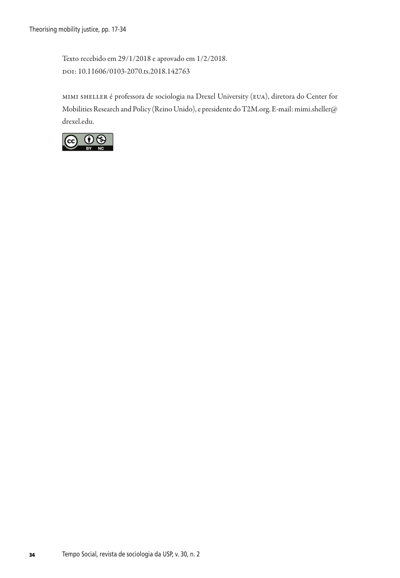Texto recebido em 29/1/2018 e aprovado em 1/2/2018. doi: 10.11606/0103-2070.ts.2018.142763

mimi sheller é professora de sociologia na Drexel University (eua), diretora do Center for Mobilities Research and Policy (Reino Unido), e presidente do T2M.org. E-mail: mimi.sheller@ drexel.edu.